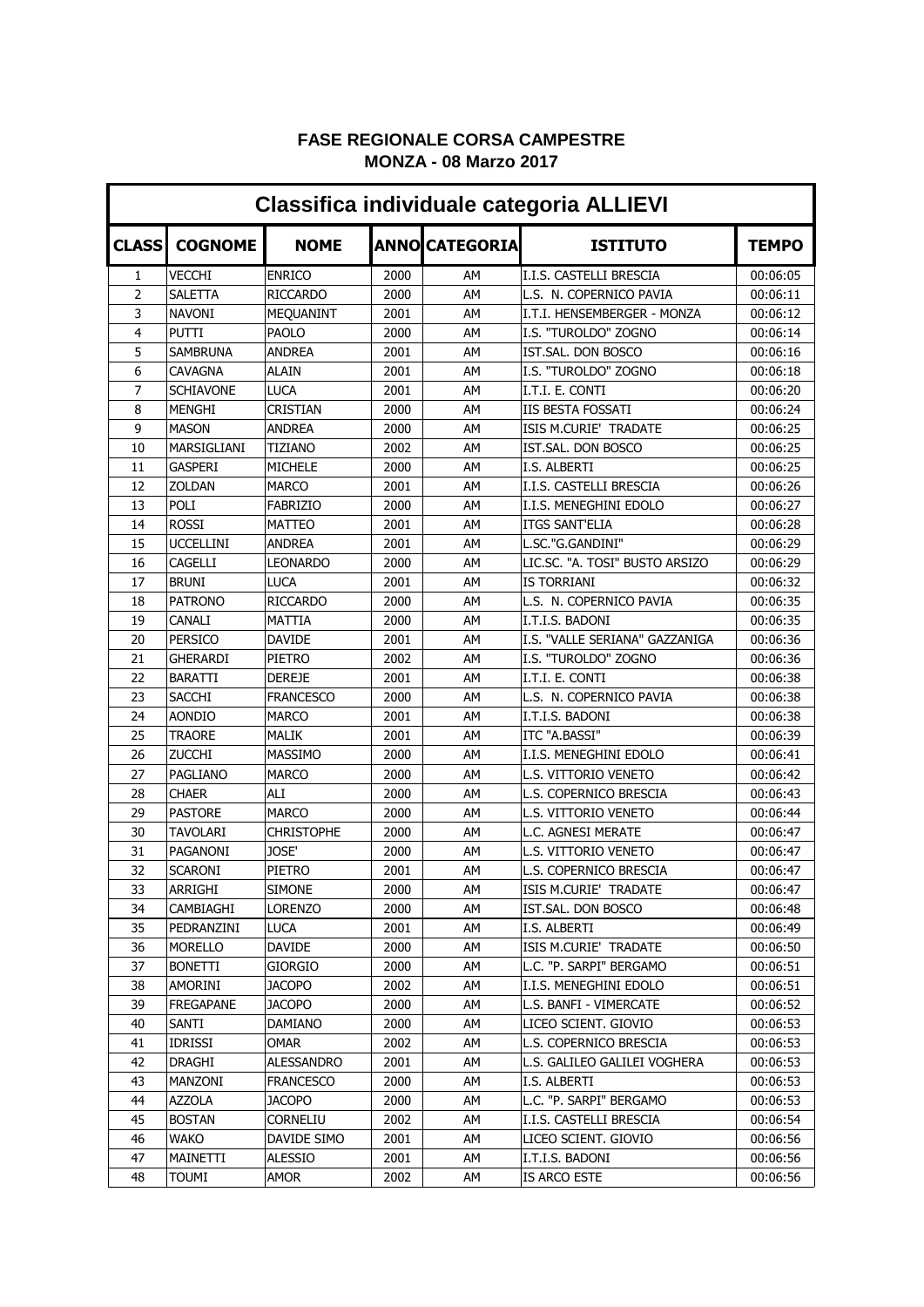| <b>Classifica individuale categoria ALLIEVI</b> |                  |                   |      |                       |                                |              |  |  |  |  |
|-------------------------------------------------|------------------|-------------------|------|-----------------------|--------------------------------|--------------|--|--|--|--|
| <b>CLASS</b>                                    | <b>COGNOME</b>   | <b>NOME</b>       |      | <b>ANNO CATEGORIA</b> | <b>ISTITUTO</b>                | <b>TEMPO</b> |  |  |  |  |
| $\mathbf{1}$                                    | <b>VECCHI</b>    | <b>ENRICO</b>     | 2000 | AM                    | I.I.S. CASTELLI BRESCIA        | 00:06:05     |  |  |  |  |
| $\overline{2}$                                  | SALETTA          | <b>RICCARDO</b>   | 2000 | AM                    | L.S. N. COPERNICO PAVIA        | 00:06:11     |  |  |  |  |
| 3                                               | <b>NAVONI</b>    | MEQUANINT         | 2001 | AΜ                    | I.T.I. HENSEMBERGER - MONZA    | 00:06:12     |  |  |  |  |
| $\overline{4}$                                  | <b>PUTTI</b>     | <b>PAOLO</b>      | 2000 | AM                    | I.S. "TUROLDO" ZOGNO           | 00:06:14     |  |  |  |  |
| 5                                               | <b>SAMBRUNA</b>  | ANDREA            | 2001 | AM                    | IST.SAL. DON BOSCO             | 00:06:16     |  |  |  |  |
| 6                                               | <b>CAVAGNA</b>   | <b>ALAIN</b>      | 2001 | AM                    | I.S. "TUROLDO" ZOGNO           | 00:06:18     |  |  |  |  |
| 7                                               | SCHIAVONE        | LUCA              | 2001 | AΜ                    | I.T.I. E. CONTI                | 00:06:20     |  |  |  |  |
| 8                                               | MENGHI           | <b>CRISTIAN</b>   | 2000 | AM                    | <b>IIS BESTA FOSSATI</b>       | 00:06:24     |  |  |  |  |
| 9                                               | <b>MASON</b>     | <b>ANDREA</b>     | 2000 | AΜ                    | ISIS M.CURIE' TRADATE          | 00:06:25     |  |  |  |  |
| 10                                              | MARSIGLIANI      | <b>TIZIANO</b>    | 2002 | AM                    | IST.SAL. DON BOSCO             | 00:06:25     |  |  |  |  |
| 11                                              | <b>GASPERI</b>   | <b>MICHELE</b>    | 2000 | AM                    | I.S. ALBERTI                   | 00:06:25     |  |  |  |  |
| 12                                              | ZOLDAN           | <b>MARCO</b>      | 2001 | AM                    | I.I.S. CASTELLI BRESCIA        | 00:06:26     |  |  |  |  |
| 13                                              | POLI             | <b>FABRIZIO</b>   | 2000 | AM                    | I.I.S. MENEGHINI EDOLO         | 00:06:27     |  |  |  |  |
| 14                                              | <b>ROSSI</b>     | MATTEO            | 2001 | AM                    | <b>ITGS SANT'ELIA</b>          | 00:06:28     |  |  |  |  |
| 15                                              | <b>UCCELLINI</b> | ANDREA            | 2001 | AM                    | L.SC."G.GANDINI"               | 00:06:29     |  |  |  |  |
| 16                                              | <b>CAGELLI</b>   | LEONARDO          | 2000 | AM                    | LIC.SC. "A. TOSI" BUSTO ARSIZO | 00:06:29     |  |  |  |  |
| 17                                              | <b>BRUNI</b>     | <b>LUCA</b>       | 2001 | AM                    | IS TORRIANI                    | 00:06:32     |  |  |  |  |
| 18                                              | <b>PATRONO</b>   | <b>RICCARDO</b>   | 2000 | AM                    | L.S. N. COPERNICO PAVIA        | 00:06:35     |  |  |  |  |
| 19                                              | CANALI           | MATTIA            | 2000 | AM                    | I.T.I.S. BADONI                | 00:06:35     |  |  |  |  |
| 20                                              | <b>PERSICO</b>   | <b>DAVIDE</b>     | 2001 | AM                    | I.S. "VALLE SERIANA" GAZZANIGA | 00:06:36     |  |  |  |  |
| 21                                              | GHERARDI         | PIETRO            | 2002 | AM                    | I.S. "TUROLDO" ZOGNO           | 00:06:36     |  |  |  |  |
| 22                                              | <b>BARATTI</b>   | DEREJE            | 2001 | AM                    | I.T.I. E. CONTI                | 00:06:38     |  |  |  |  |
| 23                                              | <b>SACCHI</b>    | FRANCESCO         | 2000 | AΜ                    | L.S. N. COPERNICO PAVIA        | 00:06:38     |  |  |  |  |
| 24                                              | <b>AONDIO</b>    | MARCO             | 2001 | AM                    | I.T.I.S. BADONI                | 00:06:38     |  |  |  |  |
| 25                                              | <b>TRAORE</b>    | <b>MALIK</b>      | 2001 | AM                    | ITC "A.BASSI"                  | 00:06:39     |  |  |  |  |
| 26                                              | <b>ZUCCHI</b>    | MASSIMO           | 2000 | AM                    | I.I.S. MENEGHINI EDOLO         | 00:06:41     |  |  |  |  |
| 27                                              | PAGLIANO         | <b>MARCO</b>      | 2000 | AM                    | L.S. VITTORIO VENETO           | 00:06:42     |  |  |  |  |
| 28                                              | <b>CHAER</b>     | ALI               | 2000 | AM                    | L.S. COPERNICO BRESCIA         | 00:06:43     |  |  |  |  |
| 29                                              | <b>PASTORE</b>   | <b>MARCO</b>      | 2000 | AM                    | L.S. VITTORIO VENETO           | 00:06:44     |  |  |  |  |
| 30                                              | <b>TAVOLARI</b>  | <b>CHRISTOPHE</b> | 2000 | AM                    | L.C. AGNESI MERATE             | 00:06:47     |  |  |  |  |
| 31                                              | PAGANONI         | JOSE'             | 2000 | AΜ                    | L.S. VITTORIO VENETO           | 00:06:47     |  |  |  |  |
| 32                                              | <b>SCARONI</b>   | PIETRO            | 2001 | AΜ                    | L.S. COPERNICO BRESCIA         | 00:06:47     |  |  |  |  |
| 33                                              | ARRIGHI          | <b>SIMONE</b>     | 2000 | AΜ                    | ISIS M.CURIE' TRADATE          | 00:06:47     |  |  |  |  |
| 34                                              | CAMBIAGHI        | <b>LORENZO</b>    | 2000 | AM                    | IST.SAL. DON BOSCO             | 00:06:48     |  |  |  |  |
| 35                                              | PEDRANZINI       | <b>LUCA</b>       | 2001 | AΜ                    | I.S. ALBERTI                   | 00:06:49     |  |  |  |  |
| 36                                              | MORELLO          | <b>DAVIDE</b>     | 2000 | AM                    | ISIS M.CURIE' TRADATE          | 00:06:50     |  |  |  |  |
| 37                                              | <b>BONETTI</b>   | GIORGIO           | 2000 | AM                    | L.C. "P. SARPI" BERGAMO        | 00:06:51     |  |  |  |  |
| 38                                              | AMORINI          | <b>JACOPO</b>     | 2002 | AΜ                    | I.I.S. MENEGHINI EDOLO         | 00:06:51     |  |  |  |  |
| 39                                              | <b>FREGAPANE</b> | <b>JACOPO</b>     | 2000 | AM                    | L.S. BANFI - VIMERCATE         | 00:06:52     |  |  |  |  |
| 40                                              | SANTI            | DAMIANO           | 2000 | AΜ                    | LICEO SCIENT. GIOVIO           | 00:06:53     |  |  |  |  |
| 41                                              | IDRISSI          | omar              | 2002 | AΜ                    | L.S. COPERNICO BRESCIA         | 00:06:53     |  |  |  |  |
| 42                                              | DRAGHI           | ALESSANDRO        | 2001 | AΜ                    | L.S. GALILEO GALILEI VOGHERA   | 00:06:53     |  |  |  |  |
| 43                                              | MANZONI          | <b>FRANCESCO</b>  | 2000 | AΜ                    | I.S. ALBERTI                   | 00:06:53     |  |  |  |  |
| 44                                              | <b>AZZOLA</b>    | <b>JACOPO</b>     | 2000 | AΜ                    | L.C. "P. SARPI" BERGAMO        | 00:06:53     |  |  |  |  |
| 45                                              | <b>BOSTAN</b>    | CORNELIU          | 2002 | AΜ                    | I.I.S. CASTELLI BRESCIA        | 00:06:54     |  |  |  |  |
| 46                                              | <b>WAKO</b>      | DAVIDE SIMO       | 2001 | AΜ                    | LICEO SCIENT. GIOVIO           | 00:06:56     |  |  |  |  |
| 47                                              | MAINETTI         | <b>ALESSIO</b>    | 2001 | AM                    | I.T.I.S. BADONI                | 00:06:56     |  |  |  |  |
| 48                                              | <b>TOUMI</b>     | AMOR              | 2002 | AM                    | IS ARCO ESTE                   | 00:06:56     |  |  |  |  |

## **FASE REGIONALE CORSA CAMPESTRE MONZA - 08 Marzo 2017**